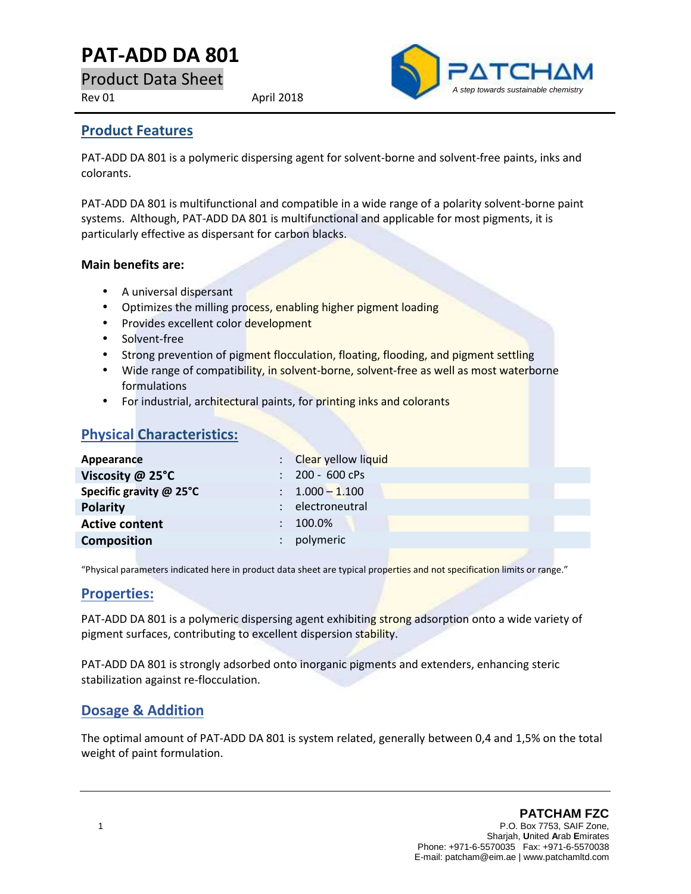# **PAT-ADD DA 801**

Product Data Sheet

Rev 01 April 2018



### **Product Features**

PAT-ADD DA 801 is a polymeric dispersing agent for solvent-borne and solvent-free paints, inks and colorants.

PAT-ADD DA 801 is multifunctional and compatible in a wide range of a polarity solvent-borne paint systems. Although, PAT-ADD DA 801 is multifunctional and applicable for most pigments, it is particularly effective as dispersant for carbon blacks.

#### **Main benefits are:**

- A universal dispersant
- Optimizes the milling process, enabling higher pigment loading
- Provides excellent color development
- Solvent-free
- Strong prevention of pigment flocculation, floating, flooding, and pigment settling
- Wide range of compatibility, in solvent-borne, solvent-free as well as most waterborne formulations
- For industrial, architectural paints, for printing inks and colorants

## **Physical Characteristics:**

| : Clear yellow liquid      |
|----------------------------|
| $: 200 - 600$ cPs          |
| $\therefore$ 1.000 - 1.100 |
| electroneutral             |
| 100.0%                     |
| polymeric                  |
|                            |

"Physical parameters indicated here in product data sheet are typical properties and not specification limits or range."

#### **Properties:**

PAT-ADD DA 801 is a polymeric dispersing agent exhibiting strong adsorption onto a wide variety of pigment surfaces, contributing to excellent dispersion stability.

PAT-ADD DA 801 is strongly adsorbed onto inorganic pigments and extenders, enhancing steric stabilization against re-flocculation.

## **Dosage & Addition**

The optimal amount of PAT-ADD DA 801 is system related, generally between 0,4 and 1,5% on the total weight of paint formulation.